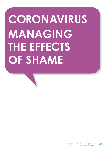## **CORONAVIRUS MANAGING THE EFFECTS OF SHAME**

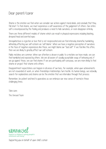## Dear parent/carer

Shame is the emotion we feel when we consider our actions against moral ideals, and conclude that they fall short. To feel shame, we must experience a self-awareness of the judgement of others. Our entire self is encompassed by the feeling and produces a need to hide ourselves, or even disappear entirely.

There are three different models of shame which can result in physical expressions including blushing, drooped head and averted eyes:

Unrequited love is rejection or love that is not reciprocated and can feel intensely shameful, humiliating, ultimately affecting our self-esteem via 'self-blame'. When we have a negative perception of ourselves in the face of negative experiences like these, we might blame our "bad self". It we feel like this often, then we are likely to greatly affect our self-esteem.

Public mistakes are common. When our attention is drawn in public to a mistake we have made, we can feel humiliated and exposed by others. We are all aware of socially acceptable ways of behaving and, if we go against those, we can feel shame. If we are particularly self-conscious, we are more likely to feel shame or project that shame onto others.

Disappointment expectations can happen in all areas of our lives, for example, when your achievements are not rewarded at work, or when friendships/relationships turn hostile. As human beings, we naturally search for explanations and shame can be the emotion that we internalise through that process.

Remember, be patient and kind to yourselves as we embrace our new sense of normal in these challenging times.

Take care. The Unravel Team



Supporting you on behalf of your child's school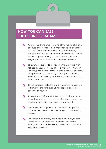## **HOW YOU CAN EASE THE FEELING OF SHAME**

Address the strong urge to get rid of the feeling of shame because of how intense and uncomfortable it can make you feel. By allowing yourself to 'sit' in the emotion, thoughts and feelings to move transiently and you enable them to disperse. Having an awareness of your own triggers can lessen the impact of feelings of shame.

- Be aware of your self-talk. Judgement phrases like, "I'm not good enough", "I shouldn't feel this way", "Why can't I do things like other people?", "I should have..." can really strengthen your self-doubt. Try affirming and validating words like, "I am learning all the time", "I am worthy", "In this moment I feel….".
- Be self-compassionate. This is really important to help you re-frame the shaming event. It needs practice, so be patient with yourself.
- Separate your self-worth from what you do. If you define yourself by what you do, you can give others control over your happiness which can result in low self-worth.
- Alter the standards you live by. Be mindful that people do make mistakes and mistakes form part of our learning journeys.
- **Talk to friends and family about the event that you feel** shame about. Connection with others weakens the feelings of shame and allows you to view the event with forgiveness and love.